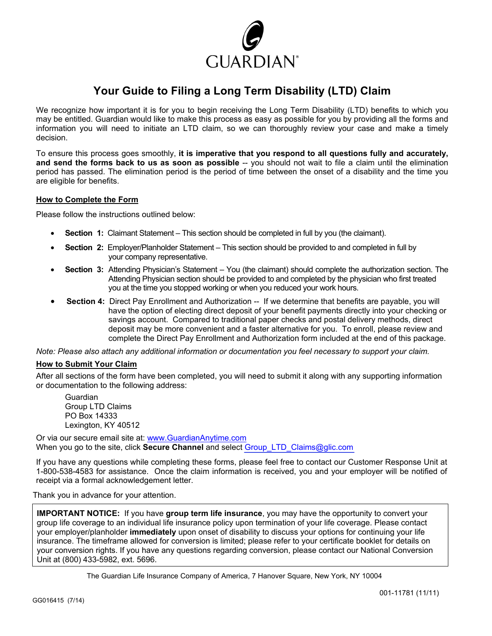

# **Your Guide to Filing a Long Term Disability (LTD) Claim**

We recognize how important it is for you to begin receiving the Long Term Disability (LTD) benefits to which you may be entitled. Guardian would like to make this process as easy as possible for you by providing all the forms and information you will need to initiate an LTD claim, so we can thoroughly review your case and make a timely decision.

To ensure this process goes smoothly, **it is imperative that you respond to all questions fully and accurately, and send the forms back to us as soon as possible** -- you should not wait to file a claim until the elimination period has passed. The elimination period is the period of time between the onset of a disability and the time you are eligible for benefits.

## **How to Complete the Form**

Please follow the instructions outlined below:

- **Section 1:** Claimant Statement This section should be completed in full by you (the claimant).
- **Section 2:** Employer/Planholder Statement This section should be provided to and completed in full by your company representative.
- **Section 3:** Attending Physician's Statement You (the claimant) should complete the authorization section. The Attending Physician section should be provided to and completed by the physician who first treated you at the time you stopped working or when you reduced your work hours.
- **Section 4:** Direct Pay Enrollment and Authorization -- If we determine that benefits are payable, you will have the option of electing direct deposit of your benefit payments directly into your checking or savings account. Compared to traditional paper checks and postal delivery methods, direct deposit may be more convenient and a faster alternative for you. To enroll, please review and complete the Direct Pay Enrollment and Authorization form included at the end of this package.

*Note: Please also attach any additional information or documentation you feel necessary to support your claim.* 

## **How to Submit Your Claim**

After all sections of the form have been completed, you will need to submit it along with any supporting information or documentation to the following address:

 Guardian Group LTD Claims PO Box 14333 Lexington, KY 40512

Or via our secure email site at: www.GuardianAnytime.com When you go to the site, click **Secure Channel** and select Group LTD Claims@glic.com

If you have any questions while completing these forms, please feel free to contact our Customer Response Unit at 1-800-538-4583 for assistance. Once the claim information is received, you and your employer will be notified of receipt via a formal acknowledgement letter.

Thank you in advance for your attention.

**IMPORTANT NOTICE:** If you have **group term life insurance**, you may have the opportunity to convert your group life coverage to an individual life insurance policy upon termination of your life coverage. Please contact your employer/planholder **immediately** upon onset of disability to discuss your options for continuing your life insurance. The timeframe allowed for conversion is limited; please refer to your certificate booklet for details on your conversion rights. If you have any questions regarding conversion, please contact our National Conversion Unit at (800) 433-5982, ext. 5696.

The Guardian Life Insurance Company of America, 7 Hanover Square, New York, NY 10004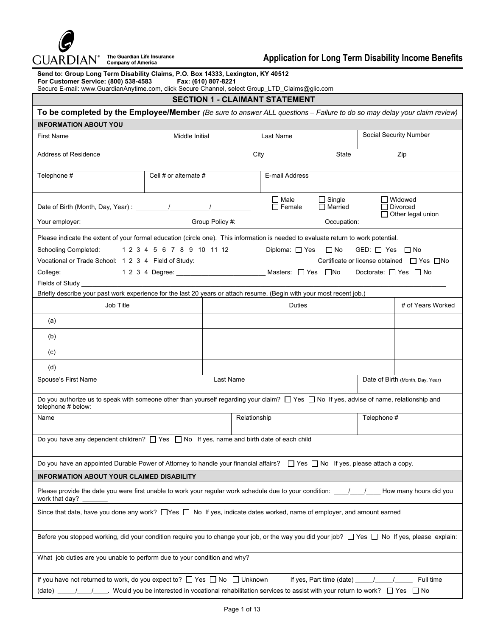

| $\text{GUARDIAN}^\circ$ The Guardian Life Insurance                                                                                                                                                                                           |                         |           |              | <b>Application for Long Term Disability Income Benefit</b> |                                 |                           |                                                          |
|-----------------------------------------------------------------------------------------------------------------------------------------------------------------------------------------------------------------------------------------------|-------------------------|-----------|--------------|------------------------------------------------------------|---------------------------------|---------------------------|----------------------------------------------------------|
| Send to: Group Long Term Disability Claims, P.O. Box 14333, Lexington, KY 40512<br>For Customer Service: (800) 538-4583 Fax: (610) 807-8221<br>Secure E-mail: www.GuardianAnytime.com, click Secure Channel, select Group_LTD_Claims@glic.com |                         |           |              |                                                            |                                 |                           |                                                          |
|                                                                                                                                                                                                                                               |                         |           |              | <b>SECTION 1 - CLAIMANT STATEMENT</b>                      |                                 |                           |                                                          |
| To be completed by the Employee/Member (Be sure to answer ALL questions - Failure to do so may delay your claim review)                                                                                                                       |                         |           |              |                                                            |                                 |                           |                                                          |
| <b>INFORMATION ABOUT YOU</b>                                                                                                                                                                                                                  |                         |           |              |                                                            |                                 |                           |                                                          |
| <b>First Name</b>                                                                                                                                                                                                                             | Middle Initial          |           |              | Last Name                                                  |                                 |                           | Social Security Number                                   |
| Address of Residence                                                                                                                                                                                                                          |                         |           | City         |                                                            | State                           |                           | Zip                                                      |
| Telephone #                                                                                                                                                                                                                                   | Cell # or alternate $#$ |           |              | E-mail Address                                             |                                 |                           |                                                          |
|                                                                                                                                                                                                                                               |                         |           |              | $\Box$ Male<br>$\Box$ Female                               | $\Box$ Single<br>$\Box$ Married |                           | $\Box$ Widowed<br>□ Divorced<br>$\Box$ Other legal union |
|                                                                                                                                                                                                                                               |                         |           |              |                                                            |                                 |                           |                                                          |
| Please indicate the extent of your formal education (circle one). This information is needed to evaluate return to work potential.<br>Schooling Completed: 1 2 3 4 5 6 7 8 9 10 11 12<br>College:                                             |                         |           |              | Diploma: $\Box$ Yes $\Box$ No                              |                                 | GED: $\Box$ Yes $\Box$ No |                                                          |
| Briefly describe your past work experience for the last 20 years or attach resume. (Begin with your most recent job.)                                                                                                                         |                         |           |              |                                                            |                                 |                           |                                                          |
| Job Title                                                                                                                                                                                                                                     |                         |           |              | <b>Duties</b>                                              |                                 |                           | # of Years Worked                                        |
| (a)                                                                                                                                                                                                                                           |                         |           |              |                                                            |                                 |                           |                                                          |
| (b)                                                                                                                                                                                                                                           |                         |           |              |                                                            |                                 |                           |                                                          |
| (C)                                                                                                                                                                                                                                           |                         |           |              |                                                            |                                 |                           |                                                          |
| (d)                                                                                                                                                                                                                                           |                         |           |              |                                                            |                                 |                           |                                                          |
| Spouse's First Name                                                                                                                                                                                                                           |                         | Last Name |              |                                                            |                                 |                           | Date of Birth (Month, Day, Year)                         |
| Do you authorize us to speak with someone other than yourself regarding your claim? $\Box$ Yes $\Box$ No If yes, advise of name, relationship and<br>telephone # below:                                                                       |                         |           |              |                                                            |                                 |                           |                                                          |
| Name                                                                                                                                                                                                                                          |                         |           | Relationship |                                                            |                                 | Telephone #               |                                                          |
| Do you have any dependent children? $\Box$ Yes $\Box$ No If yes, name and birth date of each child                                                                                                                                            |                         |           |              |                                                            |                                 |                           |                                                          |
| Do you have an appointed Durable Power of Attorney to handle your financial affairs? $\Box$ Yes $\Box$ No If yes, please attach a copy.                                                                                                       |                         |           |              |                                                            |                                 |                           |                                                          |
| <b>INFORMATION ABOUT YOUR CLAIMED DISABILITY</b>                                                                                                                                                                                              |                         |           |              |                                                            |                                 |                           |                                                          |
| Please provide the date you were first unable to work your regular work schedule due to your condition: ____________________ How many hours did you<br>work that day?                                                                         |                         |           |              |                                                            |                                 |                           |                                                          |
| Since that date, have you done any work? □ Yes □ No If yes, indicate dates worked, name of employer, and amount earned                                                                                                                        |                         |           |              |                                                            |                                 |                           |                                                          |
| Before you stopped working, did your condition require you to change your job, or the way you did your job? [] Yes [] No If yes, please explain:                                                                                              |                         |           |              |                                                            |                                 |                           |                                                          |

What job duties are you unable to perform due to your condition and why?

| If you have not returned to work, do you expect to? $\Box$ Yes $\Box$ No $\Box$ Unknown                                                 | If yes, Part time (date) $\frac{1}{2}$ |  | Full time |
|-----------------------------------------------------------------------------------------------------------------------------------------|----------------------------------------|--|-----------|
| $\Box$ Would you be interested in vocational rehabilitation services to assist with your return to work? $\Box$ Yes $\Box$ No<br>(date) |                                        |  |           |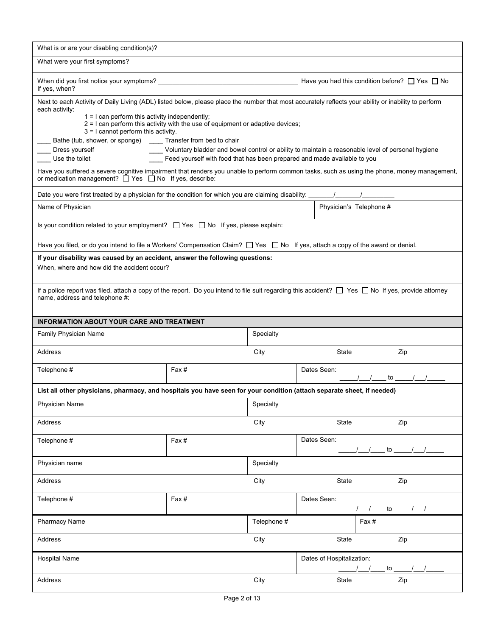| What is or are your disabling condition(s)?                                                                                                                            |                                                                                                                                    |             |                                                                                                                                                              |  |  |  |
|------------------------------------------------------------------------------------------------------------------------------------------------------------------------|------------------------------------------------------------------------------------------------------------------------------------|-------------|--------------------------------------------------------------------------------------------------------------------------------------------------------------|--|--|--|
| What were your first symptoms?                                                                                                                                         |                                                                                                                                    |             |                                                                                                                                                              |  |  |  |
| Have you had this condition before? $\Box$ Yes $\Box$ No<br>If yes, when?                                                                                              |                                                                                                                                    |             |                                                                                                                                                              |  |  |  |
| Next to each Activity of Daily Living (ADL) listed below, please place the number that most accurately reflects your ability or inability to perform<br>each activity: |                                                                                                                                    |             |                                                                                                                                                              |  |  |  |
| $3 = 1$ cannot perform this activity.                                                                                                                                  | $1 = 1$ can perform this activity independently;<br>2 = I can perform this activity with the use of equipment or adaptive devices; |             |                                                                                                                                                              |  |  |  |
| Bathe (tub, shower, or sponge) Transfer from bed to chair                                                                                                              |                                                                                                                                    |             |                                                                                                                                                              |  |  |  |
| Dress yourself<br>Use the toilet                                                                                                                                       | Feed yourself with food that has been prepared and made available to you                                                           |             | Voluntary bladder and bowel control or ability to maintain a reasonable level of personal hygiene                                                            |  |  |  |
| or medication management? T Yes T No If yes, describe:                                                                                                                 |                                                                                                                                    |             | Have you suffered a severe cognitive impairment that renders you unable to perform common tasks, such as using the phone, money management,                  |  |  |  |
|                                                                                                                                                                        |                                                                                                                                    |             |                                                                                                                                                              |  |  |  |
| Name of Physician                                                                                                                                                      |                                                                                                                                    |             | Physician's Telephone #                                                                                                                                      |  |  |  |
| Is your condition related to your employment? $\Box$ Yes $\Box$ No If yes, please explain:                                                                             |                                                                                                                                    |             |                                                                                                                                                              |  |  |  |
| Have you filed, or do you intend to file a Workers' Compensation Claim? $\Box$ Yes $\Box$ No If yes, attach a copy of the award or denial.                             |                                                                                                                                    |             |                                                                                                                                                              |  |  |  |
| If your disability was caused by an accident, answer the following questions:                                                                                          |                                                                                                                                    |             |                                                                                                                                                              |  |  |  |
| When, where and how did the accident occur?                                                                                                                            |                                                                                                                                    |             |                                                                                                                                                              |  |  |  |
| name, address and telephone #:                                                                                                                                         |                                                                                                                                    |             | If a police report was filed, attach a copy of the report. Do you intend to file suit regarding this accident? $\Box$ Yes $\Box$ No If yes, provide attorney |  |  |  |
| <b>INFORMATION ABOUT YOUR CARE AND TREATMENT</b>                                                                                                                       |                                                                                                                                    |             |                                                                                                                                                              |  |  |  |
| Family Physician Name                                                                                                                                                  |                                                                                                                                    | Specialty   |                                                                                                                                                              |  |  |  |
| Address                                                                                                                                                                |                                                                                                                                    | City        | State<br>Zip                                                                                                                                                 |  |  |  |
| Telephone #                                                                                                                                                            | Fax #                                                                                                                              |             | Dates Seen:<br>to $\frac{1}{\sqrt{2}}$                                                                                                                       |  |  |  |
| List all other physicians, pharmacy, and hospitals you have seen for your condition (attach separate sheet, if needed)                                                 |                                                                                                                                    |             |                                                                                                                                                              |  |  |  |
| Physician Name                                                                                                                                                         |                                                                                                                                    | Specialty   |                                                                                                                                                              |  |  |  |
| Address                                                                                                                                                                |                                                                                                                                    | City        | State<br>Zip                                                                                                                                                 |  |  |  |
| Telephone #                                                                                                                                                            | Fax#                                                                                                                               |             | Dates Seen:<br>to $\overline{\phantom{0}}$                                                                                                                   |  |  |  |
| Physician name                                                                                                                                                         |                                                                                                                                    | Specialty   |                                                                                                                                                              |  |  |  |
| Address                                                                                                                                                                |                                                                                                                                    | City        | State<br>Zip                                                                                                                                                 |  |  |  |
| Telephone #                                                                                                                                                            | Fax#                                                                                                                               |             | Dates Seen:                                                                                                                                                  |  |  |  |
| <b>Pharmacy Name</b>                                                                                                                                                   |                                                                                                                                    | Telephone # | Fax#                                                                                                                                                         |  |  |  |
| Address                                                                                                                                                                |                                                                                                                                    | City        | State<br>Zip                                                                                                                                                 |  |  |  |
| <b>Hospital Name</b>                                                                                                                                                   |                                                                                                                                    |             | Dates of Hospitalization:<br>to $\qquad$                                                                                                                     |  |  |  |
| Address                                                                                                                                                                |                                                                                                                                    | City        | State<br>Zip                                                                                                                                                 |  |  |  |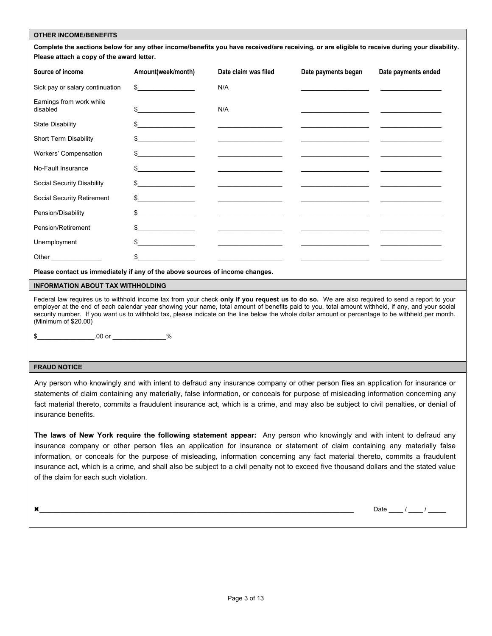#### **OTHER INCOME/BENEFITS**

**Complete the sections below for any other income/benefits you have received/are receiving, or are eligible to receive during your disability. Please attach a copy of the award letter.** 

| Source of income                                                                                                                                                                                                               | Amount(week/month)                                                                                                                                                                                                                                                                                                                                                                                                       | Date claim was filed                                                                                                                                                                                                                 | Date payments began                                                                                                                                                                                                           | Date payments ended |
|--------------------------------------------------------------------------------------------------------------------------------------------------------------------------------------------------------------------------------|--------------------------------------------------------------------------------------------------------------------------------------------------------------------------------------------------------------------------------------------------------------------------------------------------------------------------------------------------------------------------------------------------------------------------|--------------------------------------------------------------------------------------------------------------------------------------------------------------------------------------------------------------------------------------|-------------------------------------------------------------------------------------------------------------------------------------------------------------------------------------------------------------------------------|---------------------|
| Sick pay or salary continuation                                                                                                                                                                                                | $\frac{1}{2}$                                                                                                                                                                                                                                                                                                                                                                                                            | N/A                                                                                                                                                                                                                                  |                                                                                                                                                                                                                               |                     |
| Earnings from work while<br>disabled                                                                                                                                                                                           | $\frac{1}{2}$                                                                                                                                                                                                                                                                                                                                                                                                            | N/A                                                                                                                                                                                                                                  |                                                                                                                                                                                                                               |                     |
| <b>State Disability</b>                                                                                                                                                                                                        | $\frac{1}{2}$                                                                                                                                                                                                                                                                                                                                                                                                            | <u> 1989 - Johann Harry Harry Harry Harry Harry Harry Harry Harry Harry Harry Harry Harry Harry Harry Harry Harry Harry Harry Harry Harry Harry Harry Harry Harry Harry Harry Harry Harry Harry Harry Harry Harry Harry Harry Ha</u> |                                                                                                                                                                                                                               |                     |
| Short Term Disability                                                                                                                                                                                                          | $\frac{1}{2}$                                                                                                                                                                                                                                                                                                                                                                                                            | <u> 1980 - John Harry Harry Harry Harry Harry Harry Harry Harry Harry Harry Harry Harry Harry Harry Harry Harry Harry Harry Harry Harry Harry Harry Harry Harry Harry Harry Harry Harry Harry Harry Harry Harry Harry Harry Harr</u> |                                                                                                                                                                                                                               |                     |
| Workers' Compensation                                                                                                                                                                                                          | $\frac{1}{2}$                                                                                                                                                                                                                                                                                                                                                                                                            | <u>and the contract of the contract of the contract of the contract of the contract of the contract of the contract of the contract of the contract of the contract of the contract of the contract of the contract of the contr</u> |                                                                                                                                                                                                                               |                     |
| No-Fault Insurance                                                                                                                                                                                                             | $\frac{1}{2}$                                                                                                                                                                                                                                                                                                                                                                                                            | the control of the control of the control of the control of the control of                                                                                                                                                           | the control of the control of the control of the control of the control of the control of the control of the control of the control of the control of the control of the control of the control of the control of the control |                     |
| Social Security Disability                                                                                                                                                                                                     | $\frac{1}{2}$                                                                                                                                                                                                                                                                                                                                                                                                            | <u> 1989 - Johann Barbara, martin a</u>                                                                                                                                                                                              |                                                                                                                                                                                                                               |                     |
| Social Security Retirement                                                                                                                                                                                                     | $\frac{1}{2}$                                                                                                                                                                                                                                                                                                                                                                                                            | the control of the control of the control of                                                                                                                                                                                         |                                                                                                                                                                                                                               |                     |
| Pension/Disability                                                                                                                                                                                                             | $\begin{array}{c c c c c} \hline \texttt{S} & \texttt{S} & \texttt{S} & \texttt{S} & \texttt{S} & \texttt{S} & \texttt{S} & \texttt{S} & \texttt{S} & \texttt{S} & \texttt{S} & \texttt{S} & \texttt{S} & \texttt{S} & \texttt{S} & \texttt{S} & \texttt{S} & \texttt{S} & \texttt{S} & \texttt{S} & \texttt{S} & \texttt{S} & \texttt{S} & \texttt{S} & \texttt{S} & \texttt{S} & \texttt{S} & \texttt{S} & \texttt{S}$ | <u> 1989 - Johann John Stein, market fan it ferstjer fan it ferstjer fan it ferstjer fan it ferstjer fan it ferstjer fan it ferstjer fan it ferstjer fan it ferstjer fan it ferstjer fan it ferstjer fan it ferstjer fan it fers</u> |                                                                                                                                                                                                                               |                     |
| Pension/Retirement                                                                                                                                                                                                             | $\frac{1}{2}$                                                                                                                                                                                                                                                                                                                                                                                                            |                                                                                                                                                                                                                                      |                                                                                                                                                                                                                               |                     |
| Unemployment                                                                                                                                                                                                                   | $\frac{1}{2}$                                                                                                                                                                                                                                                                                                                                                                                                            |                                                                                                                                                                                                                                      |                                                                                                                                                                                                                               |                     |
| Other the contract of the contract of the contract of the contract of the contract of the contract of the contract of the contract of the contract of the contract of the contract of the contract of the contract of the cont |                                                                                                                                                                                                                                                                                                                                                                                                                          |                                                                                                                                                                                                                                      |                                                                                                                                                                                                                               |                     |

**Please contact us immediately if any of the above sources of income changes.** 

#### **INFORMATION ABOUT TAX WITHHOLDING**

Federal law requires us to withhold income tax from your check **only if you request us to do so.** We are also required to send a report to your employer at the end of each calendar year showing your name, total amount of benefits paid to you, total amount withheld, if any, and your social security number. If you want us to withhold tax, please indicate on the line below the whole dollar amount or percentage to be withheld per month. (Minimum of \$20.00)

\$\_\_\_\_\_\_\_\_\_\_\_\_\_\_\_\_.00 or \_\_\_\_\_\_\_\_\_\_\_\_\_\_\_%

#### **FRAUD NOTICE**

Any person who knowingly and with intent to defraud any insurance company or other person files an application for insurance or statements of claim containing any materially, false information, or conceals for purpose of misleading information concerning any fact material thereto, commits a fraudulent insurance act, which is a crime, and may also be subject to civil penalties, or denial of insurance benefits.

**The laws of New York require the following statement appear:** Any person who knowingly and with intent to defraud any insurance company or other person files an application for insurance or statement of claim containing any materially false information, or conceals for the purpose of misleading, information concerning any fact material thereto, commits a fraudulent insurance act, which is a crime, and shall also be subject to a civil penalty not to exceed five thousand dollars and the stated value of the claim for each such violation.

\_\_\_\_\_\_\_\_\_\_\_\_\_\_\_\_\_\_\_\_\_\_\_\_\_\_\_\_\_\_\_\_\_\_\_\_\_\_\_\_\_\_\_\_\_\_\_\_\_\_\_\_\_\_\_\_\_\_\_\_\_\_\_\_\_\_\_\_\_\_\_\_\_\_\_\_\_\_\_\_\_\_\_\_\_\_\_\_ Date \_\_\_\_ / \_\_\_\_ / \_\_\_\_\_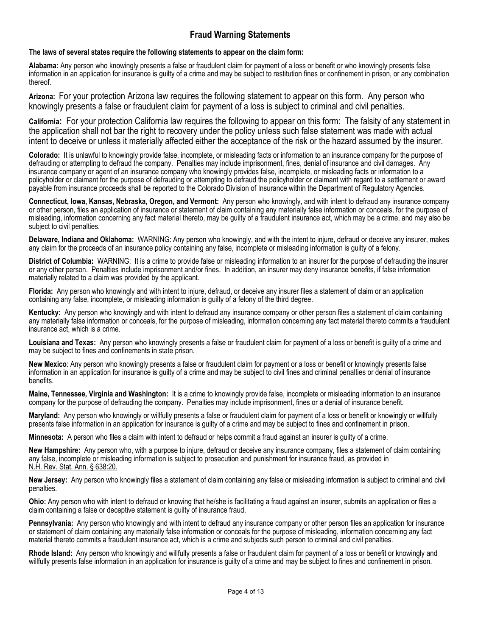# **Fraud Warning Statements**

### **The laws of several states require the following statements to appear on the claim form:**

**Alabama:** Any person who knowingly presents a false or fraudulent claim for payment of a loss or benefit or who knowingly presents false information in an application for insurance is guilty of a crime and may be subject to restitution fines or confinement in prison, or any combination thereof.

**Arizona:** For your protection Arizona law requires the following statement to appear on this form. Any person who knowingly presents a false or fraudulent claim for payment of a loss is subject to criminal and civil penalties.

**California:** For your protection California law requires the following to appear on this form: The falsity of any statement in the application shall not bar the right to recovery under the policy unless such false statement was made with actual intent to deceive or unless it materially affected either the acceptance of the risk or the hazard assumed by the insurer.

**Colorado:** It is unlawful to knowingly provide false, incomplete, or misleading facts or information to an insurance company for the purpose of defrauding or attempting to defraud the company. Penalties may include imprisonment, fines, denial of insurance and civil damages. Any insurance company or agent of an insurance company who knowingly provides false, incomplete, or misleading facts or information to a policyholder or claimant for the purpose of defrauding or attempting to defraud the policyholder or claimant with regard to a settlement or award payable from insurance proceeds shall be reported to the Colorado Division of Insurance within the Department of Regulatory Agencies.

**Connecticut, Iowa, Kansas, Nebraska, Oregon, and Vermont:** Any person who knowingly, and with intent to defraud any insurance company or other person, files an application of insurance or statement of claim containing any materially false information or conceals, for the purpose of misleading, information concerning any fact material thereto, may be guilty of a fraudulent insurance act, which may be a crime, and may also be subject to civil penalties.

**Delaware, Indiana and Oklahoma:** WARNING: Any person who knowingly, and with the intent to injure, defraud or deceive any insurer, makes any claim for the proceeds of an insurance policy containing any false, incomplete or misleading information is guilty of a felony.

**District of Columbia:** WARNING: It is a crime to provide false or misleading information to an insurer for the purpose of defrauding the insurer or any other person. Penalties include imprisonment and/or fines. In addition, an insurer may deny insurance benefits, if false information materially related to a claim was provided by the applicant.

**Florida:** Any person who knowingly and with intent to injure, defraud, or deceive any insurer files a statement of claim or an application containing any false, incomplete, or misleading information is guilty of a felony of the third degree.

**Kentucky:** Any person who knowingly and with intent to defraud any insurance company or other person files a statement of claim containing any materially false information or conceals, for the purpose of misleading, information concerning any fact material thereto commits a fraudulent insurance act, which is a crime.

**Louisiana and Texas:** Any person who knowingly presents a false or fraudulent claim for payment of a loss or benefit is guilty of a crime and may be subject to fines and confinements in state prison.

**New Mexico**: Any person who knowingly presents a false or fraudulent claim for payment or a loss or benefit or knowingly presents false information in an application for insurance is guilty of a crime and may be subject to civil fines and criminal penalties or denial of insurance benefits.

**Maine, Tennessee, Virginia and Washington:** It is a crime to knowingly provide false, incomplete or misleading information to an insurance company for the purpose of defrauding the company. Penalties may include imprisonment, fines or a denial of insurance benefit.

**Maryland:** Any person who knowingly or willfully presents a false or fraudulent claim for payment of a loss or benefit or knowingly or willfully presents false information in an application for insurance is guilty of a crime and may be subject to fines and confinement in prison.

**Minnesota:** A person who files a claim with intent to defraud or helps commit a fraud against an insurer is guilty of a crime.

**New Hampshire:** Any person who, with a purpose to injure, defraud or deceive any insurance company, files a statement of claim containing any false, incomplete or misleading information is subject to prosecution and punishment for insurance fraud, as provided in N.H. Rev. Stat. Ann. § 638:20.

**New Jersey:** Any person who knowingly files a statement of claim containing any false or misleading information is subject to criminal and civil penalties.

**Ohio:** Any person who with intent to defraud or knowing that he/she is facilitating a fraud against an insurer, submits an application or files a claim containing a false or deceptive statement is guilty of insurance fraud.

**Pennsylvania:** Any person who knowingly and with intent to defraud any insurance company or other person files an application for insurance or statement of claim containing any materially false information or conceals for the purpose of misleading, information concerning any fact material thereto commits a fraudulent insurance act, which is a crime and subjects such person to criminal and civil penalties.

**Rhode Island:** Any person who knowingly and willfully presents a false or fraudulent claim for payment of a loss or benefit or knowingly and willfully presents false information in an application for insurance is guilty of a crime and may be subject to fines and confinement in prison.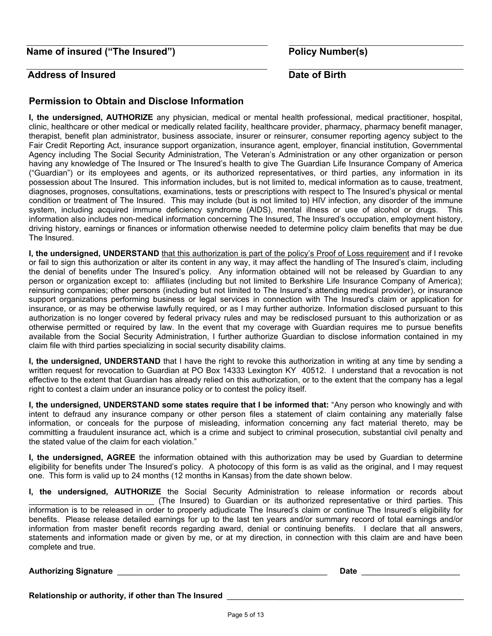**Name of insured ("The Insured")** Policy Number(s)

# **Address of Insured Calculation Contract Calculation Cate Of Birth**

# **Permission to Obtain and Disclose Information**

**I, the undersigned, AUTHORIZE** any physician, medical or mental health professional, medical practitioner, hospital, clinic, healthcare or other medical or medically related facility, healthcare provider, pharmacy, pharmacy benefit manager, therapist, benefit plan administrator, business associate, insurer or reinsurer, consumer reporting agency subject to the Fair Credit Reporting Act, insurance support organization, insurance agent, employer, financial institution, Governmental Agency including The Social Security Administration, The Veteran's Administration or any other organization or person having any knowledge of The Insured or The Insured's health to give The Guardian Life Insurance Company of America ("Guardian") or its employees and agents, or its authorized representatives, or third parties, any information in its possession about The Insured. This information includes, but is not limited to, medical information as to cause, treatment, diagnoses, prognoses, consultations, examinations, tests or prescriptions with respect to The Insured's physical or mental condition or treatment of The Insured. This may include (but is not limited to) HIV infection, any disorder of the immune system, including acquired immune deficiency syndrome (AIDS), mental illness or use of alcohol or drugs. This information also includes non-medical information concerning The Insured, The Insured's occupation, employment history, driving history, earnings or finances or information otherwise needed to determine policy claim benefits that may be due The Insured.

**I, the undersigned, UNDERSTAND** that this authorization is part of the policy's Proof of Loss requirement and if I revoke or fail to sign this authorization or alter its content in any way, it may affect the handling of The Insured's claim, including the denial of benefits under The Insured's policy. Any information obtained will not be released by Guardian to any person or organization except to: affiliates (including but not limited to Berkshire Life Insurance Company of America); reinsuring companies; other persons (including but not limited to The Insured's attending medical provider), or insurance support organizations performing business or legal services in connection with The Insured's claim or application for insurance, or as may be otherwise lawfully required, or as I may further authorize. Information disclosed pursuant to this authorization is no longer covered by federal privacy rules and may be redisclosed pursuant to this authorization or as otherwise permitted or required by law. In the event that my coverage with Guardian requires me to pursue benefits available from the Social Security Administration, I further authorize Guardian to disclose information contained in my claim file with third parties specializing in social security disability claims.

**I, the undersigned, UNDERSTAND** that I have the right to revoke this authorization in writing at any time by sending a written request for revocation to Guardian at PO Box 14333 Lexington KY 40512. I understand that a revocation is not effective to the extent that Guardian has already relied on this authorization, or to the extent that the company has a legal right to contest a claim under an insurance policy or to contest the policy itself.

**I, the undersigned, UNDERSTAND some states require that I be informed that:** "Any person who knowingly and with intent to defraud any insurance company or other person files a statement of claim containing any materially false information, or conceals for the purpose of misleading, information concerning any fact material thereto, may be committing a fraudulent insurance act, which is a crime and subject to criminal prosecution, substantial civil penalty and the stated value of the claim for each violation."

**I, the undersigned, AGREE** the information obtained with this authorization may be used by Guardian to determine eligibility for benefits under The Insured's policy. A photocopy of this form is as valid as the original, and I may request one. This form is valid up to 24 months (12 months in Kansas) from the date shown below.

**I, the undersigned, AUTHORIZE** the Social Security Administration to release information or records about \_\_\_\_\_\_\_\_\_\_\_\_\_\_\_\_\_\_\_\_\_\_\_\_\_\_\_\_ (The Insured) to Guardian or its authorized representative or third parties. This information is to be released in order to properly adjudicate The Insured's claim or continue The Insured's eligibility for benefits. Please release detailed earnings for up to the last ten years and/or summary record of total earnings and/or information from master benefit records regarding award, denial or continuing benefits. I declare that all answers, statements and information made or given by me, or at my direction, in connection with this claim are and have been complete and true.

## **Authorizing Signature** \_\_\_\_\_\_\_\_\_\_\_\_\_\_\_\_\_\_\_\_\_\_\_\_\_\_\_\_\_\_\_\_\_\_\_\_\_\_\_\_\_\_\_\_\_\_\_ **Date** \_\_\_\_\_\_\_\_\_\_\_\_\_\_\_\_\_\_\_\_\_\_

**Relationship or authority, if other than The Insured** \_\_\_\_\_\_\_\_\_\_\_\_\_\_\_\_\_\_\_\_\_\_\_\_\_\_\_\_\_\_\_\_\_\_\_\_\_\_\_\_\_\_\_\_\_\_\_\_\_\_\_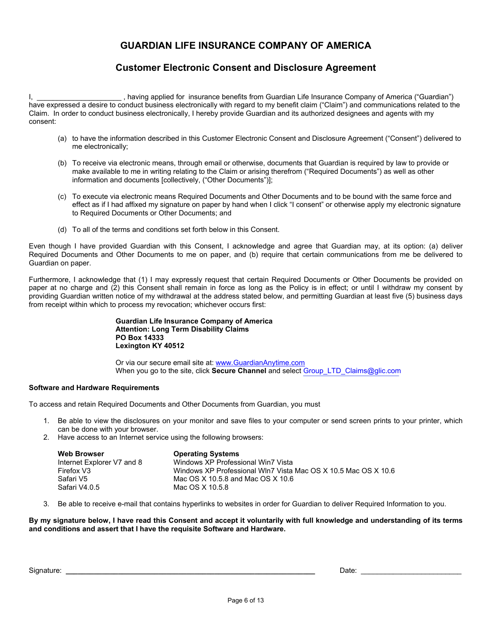# **GUARDIAN LIFE INSURANCE COMPANY OF AMERICA**

# **Customer Electronic Consent and Disclosure Agreement**

I, \_\_\_\_\_\_\_\_\_\_\_\_\_\_\_\_\_\_\_\_\_\_\_, having applied for insurance benefits from Guardian Life Insurance Company of America ("Guardian") have expressed a desire to conduct business electronically with regard to my benefit claim ("Claim") and communications related to the Claim. In order to conduct business electronically, I hereby provide Guardian and its authorized designees and agents with my consent:

- (a) to have the information described in this Customer Electronic Consent and Disclosure Agreement ("Consent") delivered to me electronically;
- (b) To receive via electronic means, through email or otherwise, documents that Guardian is required by law to provide or make available to me in writing relating to the Claim or arising therefrom ("Required Documents") as well as other information and documents [collectively, ("Other Documents")];
- (c) To execute via electronic means Required Documents and Other Documents and to be bound with the same force and effect as if I had affixed my signature on paper by hand when I click "I consent" or otherwise apply my electronic signature to Required Documents or Other Documents; and
- (d) To all of the terms and conditions set forth below in this Consent.

Even though I have provided Guardian with this Consent, I acknowledge and agree that Guardian may, at its option: (a) deliver Required Documents and Other Documents to me on paper, and (b) require that certain communications from me be delivered to Guardian on paper.

Furthermore, I acknowledge that (1) I may expressly request that certain Required Documents or Other Documents be provided on paper at no charge and (2) this Consent shall remain in force as long as the Policy is in effect; or until I withdraw my consent by providing Guardian written notice of my withdrawal at the address stated below, and permitting Guardian at least five (5) business days from receipt within which to process my revocation; whichever occurs first:

> **Guardian Life Insurance Company of America Attention: Long Term Disability Claims PO Box 14333 Lexington KY 40512**

Or via our secure email site at: www.GuardianAnytime.com When you go to the site, click **Secure Channel** and select Group\_LTD\_Claims@glic.com

#### **Software and Hardware Requirements**

To access and retain Required Documents and Other Documents from Guardian, you must

- 1. Be able to view the disclosures on your monitor and save files to your computer or send screen prints to your printer, which can be done with your browser.
- 2. Have access to an Internet service using the following browsers:

| <b>Web Browser</b>         | <b>Operating Systems</b>                                       |
|----------------------------|----------------------------------------------------------------|
| Internet Explorer V7 and 8 | Windows XP Professional Win7 Vista                             |
| Firefox V3                 | Windows XP Professional WIn7 Vista Mac OS X 10.5 Mac OS X 10.6 |
| Safari V5                  | Mac OS X 10.5.8 and Mac OS X 10.6                              |
| Safari V4.0.5              | Mac OS X 10.5.8                                                |

3. Be able to receive e-mail that contains hyperlinks to websites in order for Guardian to deliver Required Information to you.

**By my signature below, I have read this Consent and accept it voluntarily with full knowledge and understanding of its terms and conditions and assert that I have the requisite Software and Hardware.** 

Signature: **\_\_\_\_\_\_\_\_\_\_\_\_\_\_\_\_\_\_\_\_\_\_\_\_\_\_\_\_\_\_\_\_\_\_\_\_\_\_\_\_\_\_\_\_\_\_\_\_\_\_\_\_\_\_\_\_\_\_\_\_\_\_** Date: \_\_\_\_\_\_\_\_\_\_\_\_\_\_\_\_\_\_\_\_\_\_\_\_\_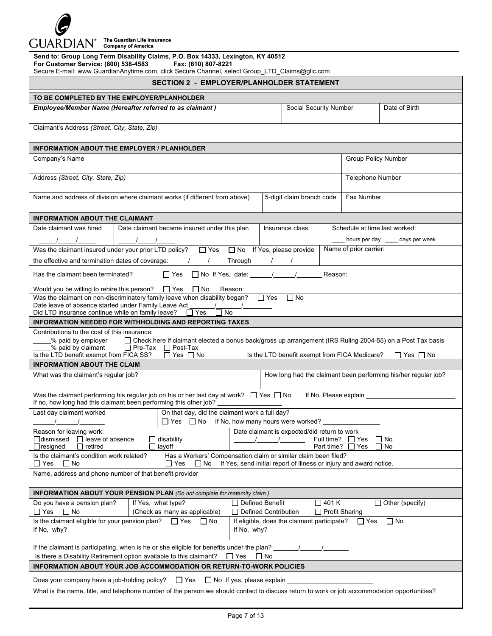

|<br>|-

| $\text{GUARDIAN}^\ast$ The Guardian Life Insurance                                                                                  |                                                                                                                                                                                                          |                                                                    |                                               |                                       |                                     |                                                                |
|-------------------------------------------------------------------------------------------------------------------------------------|----------------------------------------------------------------------------------------------------------------------------------------------------------------------------------------------------------|--------------------------------------------------------------------|-----------------------------------------------|---------------------------------------|-------------------------------------|----------------------------------------------------------------|
| For Customer Service: (800) 538-4583                                                                                                | Send to: Group Long Term Disability Claims, P.O. Box 14333, Lexington, KY 40512<br>Fax: (610) 807-8221<br>Secure E-mail: www.GuardianAnytime.com, click Secure Channel, select Group_LTD_Claims@glic.com |                                                                    |                                               |                                       |                                     |                                                                |
|                                                                                                                                     | <b>SECTION 2 - EMPLOYER/PLANHOLDER STATEMENT</b>                                                                                                                                                         |                                                                    |                                               |                                       |                                     |                                                                |
|                                                                                                                                     | TO BE COMPLETED BY THE EMPLOYER/PLANHOLDER                                                                                                                                                               |                                                                    |                                               |                                       |                                     |                                                                |
|                                                                                                                                     | Employee/Member Name (Hereafter referred to as claimant)                                                                                                                                                 |                                                                    | Social Security Number                        |                                       |                                     | Date of Birth                                                  |
|                                                                                                                                     |                                                                                                                                                                                                          |                                                                    |                                               |                                       |                                     |                                                                |
| Claimant's Address (Street, City, State, Zip)                                                                                       |                                                                                                                                                                                                          |                                                                    |                                               |                                       |                                     |                                                                |
|                                                                                                                                     | <b>INFORMATION ABOUT THE EMPLOYER / PLANHOLDER</b>                                                                                                                                                       |                                                                    |                                               |                                       |                                     |                                                                |
| Company's Name                                                                                                                      |                                                                                                                                                                                                          |                                                                    |                                               |                                       | <b>Group Policy Number</b>          |                                                                |
| Address (Street, City, State, Zip)                                                                                                  |                                                                                                                                                                                                          |                                                                    |                                               |                                       | Telephone Number                    |                                                                |
|                                                                                                                                     | Name and address of division where claimant works (if different from above)                                                                                                                              |                                                                    | 5-digit claim branch code                     |                                       | Fax Number                          |                                                                |
| <b>INFORMATION ABOUT THE CLAIMANT</b>                                                                                               |                                                                                                                                                                                                          |                                                                    |                                               |                                       |                                     |                                                                |
| Date claimant was hired                                                                                                             | Date claimant became insured under this plan                                                                                                                                                             |                                                                    | Insurance class:                              |                                       |                                     | Schedule at time last worked:                                  |
|                                                                                                                                     |                                                                                                                                                                                                          |                                                                    |                                               |                                       |                                     | hours per day days per week                                    |
|                                                                                                                                     | Was the claimant insured under your prior LTD policy?<br>$\Box$ Yes                                                                                                                                      | $\Box$ No If Yes, please provide                                   |                                               |                                       | Name of prior carrier:              |                                                                |
| the effective and termination dates of coverage:                                                                                    |                                                                                                                                                                                                          | Through                                                            |                                               |                                       |                                     |                                                                |
| Has the claimant been terminated?                                                                                                   | $\square$ Yes                                                                                                                                                                                            | □ No If Yes, date:                                                 |                                               | Reason:                               |                                     |                                                                |
| Date leave of absence started under Family Leave Act<br>Did LTD insurance continue while on family leave?                           | Would you be willing to rehire this person? $\Box$ Yes $\Box$ No<br>Was the claimant on non-discriminatory family leave when disability began?<br>$\sqrt{1}$<br>$\sqcup$ Yes<br>$\Box$ No                | Reason:<br>$\Box$ Yes                                              | $\Box$ No                                     |                                       |                                     |                                                                |
|                                                                                                                                     | <b>INFORMATION NEEDED FOR WITHHOLDING AND REPORTING TAXES</b>                                                                                                                                            |                                                                    |                                               |                                       |                                     |                                                                |
| Contributions to the cost of this insurance:<br>% paid by employer<br>% paid by claimant<br>Is the LTD benefit exempt from FICA SS? | □ Check here if claimant elected a bonus back/gross up arrangement (IRS Ruling 2004-55) on a Post Tax basis<br>$\Box$ Pre-Tax $\Box$ Post-Tax<br>$\Box$ Yes $\Box$ No                                    |                                                                    | Is the LTD benefit exempt from FICA Medicare? |                                       |                                     | $\Box$ Yes $\Box$ No                                           |
| <b>INFORMATION ABOUT THE CLAIM</b>                                                                                                  |                                                                                                                                                                                                          |                                                                    |                                               |                                       |                                     |                                                                |
| What was the claimant's reqular job?                                                                                                |                                                                                                                                                                                                          |                                                                    |                                               |                                       |                                     | How long had the claimant been performing his/her regular job? |
|                                                                                                                                     | Was the claimant performing his regular job on his or her last day at work? $\Box$ Yes $\Box$ No                                                                                                         |                                                                    |                                               |                                       | If No, Please explain               |                                                                |
|                                                                                                                                     | If no, how long had this claimant been performing this other job?                                                                                                                                        |                                                                    |                                               |                                       |                                     |                                                                |
| Last day claimant worked                                                                                                            | On that day, did the claimant work a full day?<br>$\Box$ Yes $\Box$ No                                                                                                                                   | If No, how many hours were worked?                                 |                                               |                                       |                                     |                                                                |
| Reason for leaving work:                                                                                                            |                                                                                                                                                                                                          | Date claimant is expected/did return to work                       |                                               |                                       |                                     |                                                                |
| $\Box$ leave of absence<br>∐dismissed<br>$\Box$ resigned<br>retired                                                                 | $\Box$ disability<br>$\Box$ layoff                                                                                                                                                                       |                                                                    |                                               | Part time?                            | Full time? $\Box$ Yes<br>$\Box$ Yes | ∐ No<br>$\Box$ No                                              |
| Is the claimant's condition work related?<br>$\Box$ Yes<br>$\Box$ No                                                                | Has a Workers' Compensation claim or similar claim been filed?<br>$\Box$ Yes<br>$\Box$ No                                                                                                                | If Yes, send initial report of illness or injury and award notice. |                                               |                                       |                                     |                                                                |
|                                                                                                                                     | Name, address and phone number of that benefit provider                                                                                                                                                  |                                                                    |                                               |                                       |                                     |                                                                |
|                                                                                                                                     | <b>INFORMATION ABOUT YOUR PENSION PLAN</b> (Do not complete for maternity claim.)                                                                                                                        |                                                                    |                                               |                                       |                                     |                                                                |
| Do you have a pension plan?<br>$\square$ Yes<br>$\Box$ No                                                                           | If Yes, what type?<br>(Check as many as applicable)                                                                                                                                                      | $\Box$ Defined Benefit<br>$\Box$ Defined Contribution              |                                               | $\Box$ 401 K<br>$\Box$ Profit Sharing |                                     | $\Box$ Other (specify)                                         |
| Is the claimant eligible for your pension plan? $\Box$ Yes<br>If No, why?                                                           | $\Box$ No                                                                                                                                                                                                | If eligible, does the claimant participate?<br>If No, why?         |                                               |                                       | $\Box$ Yes                          | $\Box$ No                                                      |
|                                                                                                                                     |                                                                                                                                                                                                          |                                                                    |                                               |                                       |                                     |                                                                |

| If the claimant is participating, when is he or she eligible for benefits under the plan? |  |  |  |
|-------------------------------------------------------------------------------------------|--|--|--|
| Is there a Disability Retirement option available to this claimant? $\Box$ Yes $\Box$ No  |  |  |  |
| INFORMATION ABOUT YOUR JOB ACCOMMODATION OR RETURN-TO-WORK POLICIES                       |  |  |  |
| Does your company have a job-holding policy? $\Box$ Yes $\Box$ No If yes, please explain  |  |  |  |

What is the name, title, and telephone number of the person we should contact to discuss return to work or job accommodation opportunities?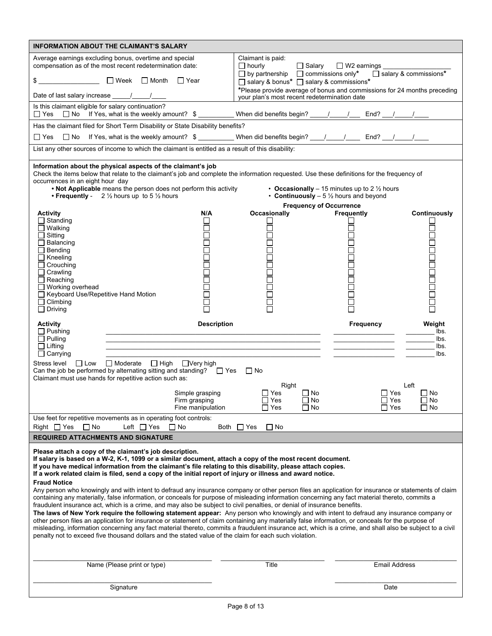| <b>INFORMATION ABOUT THE CLAIMANT'S SALARY</b>                                                                                                                                                                                                                                                                                                                                                                                                                                                                                                                                                                                                                                                                                                                                                                                                                                                                                                                                                                     |                                                                                                                                     |                                                                                                                                                                  |                                                 |                                                                                                            |                                                                                                                                                                                                                                                                                                                                                                                                                                                              |
|--------------------------------------------------------------------------------------------------------------------------------------------------------------------------------------------------------------------------------------------------------------------------------------------------------------------------------------------------------------------------------------------------------------------------------------------------------------------------------------------------------------------------------------------------------------------------------------------------------------------------------------------------------------------------------------------------------------------------------------------------------------------------------------------------------------------------------------------------------------------------------------------------------------------------------------------------------------------------------------------------------------------|-------------------------------------------------------------------------------------------------------------------------------------|------------------------------------------------------------------------------------------------------------------------------------------------------------------|-------------------------------------------------|------------------------------------------------------------------------------------------------------------|--------------------------------------------------------------------------------------------------------------------------------------------------------------------------------------------------------------------------------------------------------------------------------------------------------------------------------------------------------------------------------------------------------------------------------------------------------------|
| Average earnings excluding bonus, overtime and special<br>compensation as of the most recent redetermination date:                                                                                                                                                                                                                                                                                                                                                                                                                                                                                                                                                                                                                                                                                                                                                                                                                                                                                                 |                                                                                                                                     |                                                                                                                                                                  | Claimant is paid:<br>$\Box$ hourly              | $\Box$ Salary<br>$\Box$ W2 earnings $\Box$                                                                 | $\Box$ by partnership $\Box$ commissions only* $\Box$ salary & commissions*                                                                                                                                                                                                                                                                                                                                                                                  |
|                                                                                                                                                                                                                                                                                                                                                                                                                                                                                                                                                                                                                                                                                                                                                                                                                                                                                                                                                                                                                    |                                                                                                                                     |                                                                                                                                                                  |                                                 | □ salary & bonus* □ salary & commissions*                                                                  | *Please provide average of bonus and commissions for 24 months preceding                                                                                                                                                                                                                                                                                                                                                                                     |
| Date of last salary increase ______/_____/_____                                                                                                                                                                                                                                                                                                                                                                                                                                                                                                                                                                                                                                                                                                                                                                                                                                                                                                                                                                    |                                                                                                                                     |                                                                                                                                                                  |                                                 | your plan's most recent redetermination date                                                               |                                                                                                                                                                                                                                                                                                                                                                                                                                                              |
| Is this claimant eligible for salary continuation?<br>□ Yes □ No If Yes, what is the weekly amount? \$                                                                                                                                                                                                                                                                                                                                                                                                                                                                                                                                                                                                                                                                                                                                                                                                                                                                                                             |                                                                                                                                     |                                                                                                                                                                  |                                                 | When did benefits begin? _____/_____/_____ End? ___/___                                                    |                                                                                                                                                                                                                                                                                                                                                                                                                                                              |
| Has the claimant filed for Short Term Disability or State Disability benefits?                                                                                                                                                                                                                                                                                                                                                                                                                                                                                                                                                                                                                                                                                                                                                                                                                                                                                                                                     |                                                                                                                                     |                                                                                                                                                                  |                                                 |                                                                                                            |                                                                                                                                                                                                                                                                                                                                                                                                                                                              |
| □ Yes □ No If Yes, what is the weekly amount? \$ _________ When did benefits begin? ___/____/_____ End? __/____                                                                                                                                                                                                                                                                                                                                                                                                                                                                                                                                                                                                                                                                                                                                                                                                                                                                                                    |                                                                                                                                     |                                                                                                                                                                  |                                                 |                                                                                                            |                                                                                                                                                                                                                                                                                                                                                                                                                                                              |
| List any other sources of income to which the claimant is entitled as a result of this disability:                                                                                                                                                                                                                                                                                                                                                                                                                                                                                                                                                                                                                                                                                                                                                                                                                                                                                                                 |                                                                                                                                     |                                                                                                                                                                  |                                                 |                                                                                                            |                                                                                                                                                                                                                                                                                                                                                                                                                                                              |
| Information about the physical aspects of the claimant's job<br>Check the items below that relate to the claimant's job and complete the information requested. Use these definitions for the frequency of<br>occurrences in an eight hour day                                                                                                                                                                                                                                                                                                                                                                                                                                                                                                                                                                                                                                                                                                                                                                     | . Not Applicable means the person does not perform this activity<br>• Frequently - $2\frac{1}{2}$ hours up to 5 $\frac{1}{2}$ hours |                                                                                                                                                                  |                                                 | • Occasionally – 15 minutes up to 2 $\frac{1}{2}$ hours<br>• Continuously $-5\frac{1}{2}$ hours and beyond |                                                                                                                                                                                                                                                                                                                                                                                                                                                              |
| <b>Activity</b>                                                                                                                                                                                                                                                                                                                                                                                                                                                                                                                                                                                                                                                                                                                                                                                                                                                                                                                                                                                                    |                                                                                                                                     | N/A                                                                                                                                                              | Occasionally                                    | <b>Frequency of Occurrence</b><br>Frequently                                                               | Continuously                                                                                                                                                                                                                                                                                                                                                                                                                                                 |
| $\Box$ Standing<br>$\Box$ Walking<br>$\Box$ Sitting<br>$\Box$ Balancing<br>$\Box$ Bending<br>$\Box$ Kneeling<br>$\Box$ Crouching<br>$\Box$ Crawling<br>$\Box$ Reaching<br>$\Box$ Working overhead                                                                                                                                                                                                                                                                                                                                                                                                                                                                                                                                                                                                                                                                                                                                                                                                                  |                                                                                                                                     | $\Box$                                                                                                                                                           | 88<br>88                                        |                                                                                                            | Ē<br>8888<br>889                                                                                                                                                                                                                                                                                                                                                                                                                                             |
| □ Keyboard Use/Repetitive Hand Motion<br>$\Box$ Climbing<br>$\Box$ Driving                                                                                                                                                                                                                                                                                                                                                                                                                                                                                                                                                                                                                                                                                                                                                                                                                                                                                                                                         |                                                                                                                                     |                                                                                                                                                                  |                                                 |                                                                                                            | 靣                                                                                                                                                                                                                                                                                                                                                                                                                                                            |
| <b>Activity</b><br>$\Box$ Pushing<br>$\Box$ Pulling<br>$\Box$ Lifting<br>$\Box$ Carrying<br>Stress level<br>Can the job be performed by alternating sitting and standing? $\Box$ Yes $\Box$ No<br>Claimant must use hands for repetitive action such as:                                                                                                                                                                                                                                                                                                                                                                                                                                                                                                                                                                                                                                                                                                                                                           | $\Box$ Low $\Box$ Moderate $\Box$ High                                                                                              | <b>Description</b><br><u> 1990 - Paris Paris III, prima politik eta provincia eta prima provincia eta provincia eta provincia eta provin</u><br>$\Box$ Very high |                                                 | <b>Frequency</b>                                                                                           | Weight<br>lbs.<br>lbs.<br>lbs.<br>lbs.                                                                                                                                                                                                                                                                                                                                                                                                                       |
|                                                                                                                                                                                                                                                                                                                                                                                                                                                                                                                                                                                                                                                                                                                                                                                                                                                                                                                                                                                                                    |                                                                                                                                     | Simple grasping<br>Firm grasping<br>Fine manipulation                                                                                                            | Right<br>$\Box$ Yes<br>$\Box$ Yes<br>$\Box$ Yes | $\Box$ No<br>$\square$ No<br>$\square$ No                                                                  | Left<br>$\Box$ Yes<br>$\Box$ No<br>$\Box$ Yes<br>$\Box$ No<br>$\square$ No<br>$\Box$ Yes                                                                                                                                                                                                                                                                                                                                                                     |
| Use feet for repetitive movements as in operating foot controls:                                                                                                                                                                                                                                                                                                                                                                                                                                                                                                                                                                                                                                                                                                                                                                                                                                                                                                                                                   |                                                                                                                                     |                                                                                                                                                                  |                                                 |                                                                                                            |                                                                                                                                                                                                                                                                                                                                                                                                                                                              |
| Right $\Box$ Yes<br>$\Box$ No                                                                                                                                                                                                                                                                                                                                                                                                                                                                                                                                                                                                                                                                                                                                                                                                                                                                                                                                                                                      | Left $\Box$ Yes                                                                                                                     | ∐ No                                                                                                                                                             | $\Box$ No<br>Both $\Box$ Yes                    |                                                                                                            |                                                                                                                                                                                                                                                                                                                                                                                                                                                              |
| <b>REQUIRED ATTACHMENTS AND SIGNATURE</b><br>Please attach a copy of the claimant's job description.<br>If salary is based on a W-2, K-1, 1099 or a similar document, attach a copy of the most recent document.<br>If you have medical information from the claimant's file relating to this disability, please attach copies.<br>If a work related claim is filed, send a copy of the initial report of injury or illness and award notice.<br><b>Fraud Notice</b><br>containing any materially, false information, or conceals for purpose of misleading information concerning any fact material thereto, commits a<br>fraudulent insurance act, which is a crime, and may also be subject to civil penalties, or denial of insurance benefits.<br>other person files an application for insurance or statement of claim containing any materially false information, or conceals for the purpose of<br>penalty not to exceed five thousand dollars and the stated value of the claim for each such violation. |                                                                                                                                     |                                                                                                                                                                  |                                                 |                                                                                                            | Any person who knowingly and with intent to defraud any insurance company or other person files an application for insurance or statements of claim<br>The laws of New York require the following statement appear: Any person who knowingly and with intent to defraud any insurance company or<br>misleading, information concerning any fact material thereto, commits a fraudulent insurance act, which is a crime, and shall also be subject to a civil |
|                                                                                                                                                                                                                                                                                                                                                                                                                                                                                                                                                                                                                                                                                                                                                                                                                                                                                                                                                                                                                    | Name (Please print or type)<br>Signature                                                                                            |                                                                                                                                                                  | Title                                           |                                                                                                            | Email Address<br>Date                                                                                                                                                                                                                                                                                                                                                                                                                                        |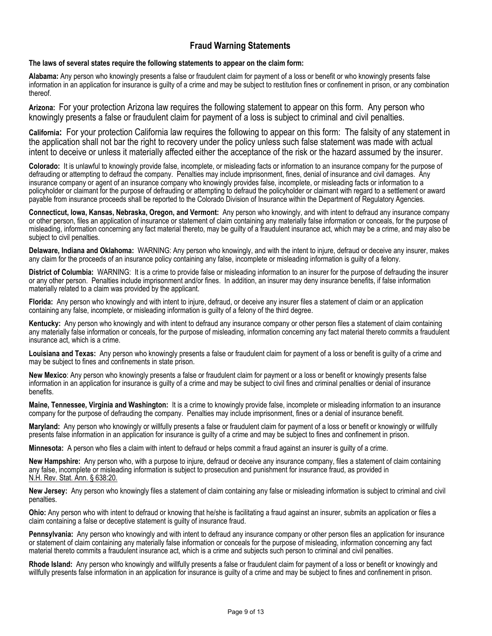# **Fraud Warning Statements**

#### **The laws of several states require the following statements to appear on the claim form:**

**Alabama:** Any person who knowingly presents a false or fraudulent claim for payment of a loss or benefit or who knowingly presents false information in an application for insurance is guilty of a crime and may be subject to restitution fines or confinement in prison, or any combination thereof.

**Arizona:** For your protection Arizona law requires the following statement to appear on this form. Any person who knowingly presents a false or fraudulent claim for payment of a loss is subject to criminal and civil penalties.

**California:** For your protection California law requires the following to appear on this form: The falsity of any statement in the application shall not bar the right to recovery under the policy unless such false statement was made with actual intent to deceive or unless it materially affected either the acceptance of the risk or the hazard assumed by the insurer.

**Colorado:** It is unlawful to knowingly provide false, incomplete, or misleading facts or information to an insurance company for the purpose of defrauding or attempting to defraud the company. Penalties may include imprisonment, fines, denial of insurance and civil damages. Any insurance company or agent of an insurance company who knowingly provides false, incomplete, or misleading facts or information to a policyholder or claimant for the purpose of defrauding or attempting to defraud the policyholder or claimant with regard to a settlement or award payable from insurance proceeds shall be reported to the Colorado Division of Insurance within the Department of Regulatory Agencies.

**Connecticut, Iowa, Kansas, Nebraska, Oregon, and Vermont:** Any person who knowingly, and with intent to defraud any insurance company or other person, files an application of insurance or statement of claim containing any materially false information or conceals, for the purpose of misleading, information concerning any fact material thereto, may be guilty of a fraudulent insurance act, which may be a crime, and may also be subject to civil penalties.

**Delaware, Indiana and Oklahoma:** WARNING: Any person who knowingly, and with the intent to injure, defraud or deceive any insurer, makes any claim for the proceeds of an insurance policy containing any false, incomplete or misleading information is guilty of a felony.

**District of Columbia:** WARNING: It is a crime to provide false or misleading information to an insurer for the purpose of defrauding the insurer or any other person. Penalties include imprisonment and/or fines. In addition, an insurer may deny insurance benefits, if false information materially related to a claim was provided by the applicant.

**Florida:** Any person who knowingly and with intent to injure, defraud, or deceive any insurer files a statement of claim or an application containing any false, incomplete, or misleading information is guilty of a felony of the third degree.

**Kentucky:** Any person who knowingly and with intent to defraud any insurance company or other person files a statement of claim containing any materially false information or conceals, for the purpose of misleading, information concerning any fact material thereto commits a fraudulent insurance act, which is a crime.

**Louisiana and Texas:** Any person who knowingly presents a false or fraudulent claim for payment of a loss or benefit is guilty of a crime and may be subject to fines and confinements in state prison.

**New Mexico**: Any person who knowingly presents a false or fraudulent claim for payment or a loss or benefit or knowingly presents false information in an application for insurance is guilty of a crime and may be subject to civil fines and criminal penalties or denial of insurance benefits.

**Maine, Tennessee, Virginia and Washington:** It is a crime to knowingly provide false, incomplete or misleading information to an insurance company for the purpose of defrauding the company. Penalties may include imprisonment, fines or a denial of insurance benefit.

**Maryland:** Any person who knowingly or willfully presents a false or fraudulent claim for payment of a loss or benefit or knowingly or willfully presents false information in an application for insurance is guilty of a crime and may be subject to fines and confinement in prison.

**Minnesota:** A person who files a claim with intent to defraud or helps commit a fraud against an insurer is guilty of a crime.

**New Hampshire:** Any person who, with a purpose to injure, defraud or deceive any insurance company, files a statement of claim containing any false, incomplete or misleading information is subject to prosecution and punishment for insurance fraud, as provided in N.H. Rev. Stat. Ann. § 638:20.

**New Jersey:** Any person who knowingly files a statement of claim containing any false or misleading information is subject to criminal and civil penalties.

**Ohio:** Any person who with intent to defraud or knowing that he/she is facilitating a fraud against an insurer, submits an application or files a claim containing a false or deceptive statement is guilty of insurance fraud.

**Pennsylvania:** Any person who knowingly and with intent to defraud any insurance company or other person files an application for insurance or statement of claim containing any materially false information or conceals for the purpose of misleading, information concerning any fact material thereto commits a fraudulent insurance act, which is a crime and subjects such person to criminal and civil penalties.

**Rhode Island:** Any person who knowingly and willfully presents a false or fraudulent claim for payment of a loss or benefit or knowingly and willfully presents false information in an application for insurance is guilty of a crime and may be subject to fines and confinement in prison.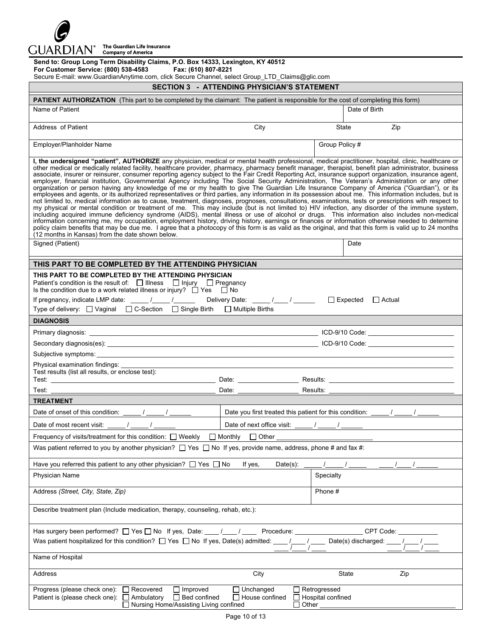

The Guardian Life Insurance<br>Company of America

| Secure E-mail: www.GuardianAnytime.com, click Secure Channel, select Group_LTD_Claims@glic.com                                                                                                                                                                                                                                                                                                                                                                                                                                                                                                                                                                                                                                                                                                                                                                                                                                                                                                                                                                                                                                                                                                                                                                                                                                                                                                                                                                                                                                                                                                                                                                                                                                                               | <b>SECTION 3 - ATTENDING PHYSICIAN'S STATEMENT</b>        |                                                                                |
|--------------------------------------------------------------------------------------------------------------------------------------------------------------------------------------------------------------------------------------------------------------------------------------------------------------------------------------------------------------------------------------------------------------------------------------------------------------------------------------------------------------------------------------------------------------------------------------------------------------------------------------------------------------------------------------------------------------------------------------------------------------------------------------------------------------------------------------------------------------------------------------------------------------------------------------------------------------------------------------------------------------------------------------------------------------------------------------------------------------------------------------------------------------------------------------------------------------------------------------------------------------------------------------------------------------------------------------------------------------------------------------------------------------------------------------------------------------------------------------------------------------------------------------------------------------------------------------------------------------------------------------------------------------------------------------------------------------------------------------------------------------|-----------------------------------------------------------|--------------------------------------------------------------------------------|
|                                                                                                                                                                                                                                                                                                                                                                                                                                                                                                                                                                                                                                                                                                                                                                                                                                                                                                                                                                                                                                                                                                                                                                                                                                                                                                                                                                                                                                                                                                                                                                                                                                                                                                                                                              |                                                           |                                                                                |
| <b>PATIENT AUTHORIZATION</b> (This part to be completed by the claimant: The patient is responsible for the cost of completing this form)<br>Name of Patient                                                                                                                                                                                                                                                                                                                                                                                                                                                                                                                                                                                                                                                                                                                                                                                                                                                                                                                                                                                                                                                                                                                                                                                                                                                                                                                                                                                                                                                                                                                                                                                                 |                                                           | Date of Birth                                                                  |
|                                                                                                                                                                                                                                                                                                                                                                                                                                                                                                                                                                                                                                                                                                                                                                                                                                                                                                                                                                                                                                                                                                                                                                                                                                                                                                                                                                                                                                                                                                                                                                                                                                                                                                                                                              |                                                           |                                                                                |
| Address of Patient                                                                                                                                                                                                                                                                                                                                                                                                                                                                                                                                                                                                                                                                                                                                                                                                                                                                                                                                                                                                                                                                                                                                                                                                                                                                                                                                                                                                                                                                                                                                                                                                                                                                                                                                           | City                                                      | State<br>Zip                                                                   |
| Employer/Planholder Name                                                                                                                                                                                                                                                                                                                                                                                                                                                                                                                                                                                                                                                                                                                                                                                                                                                                                                                                                                                                                                                                                                                                                                                                                                                                                                                                                                                                                                                                                                                                                                                                                                                                                                                                     |                                                           | Group Policy #                                                                 |
| I, the undersigned "patient", AUTHORIZE any physician, medical or mental health professional, medical practitioner, hospital, clinic, healthcare or<br>other medical or medically related facility, healthcare provider, pharmacy, pharmacy benefit manager, therapist, benefit plan administrator, business<br>associate, insurer or reinsurer, consumer reporting agency subject to the Fair Credit Reporting Act, insurance support organization, insurance agent,<br>employer, financial institution, Governmental Agency including The Social Security Administration, The Veteran's Administration or any other<br>organization or person having any knowledge of me or my health to give The Guardian Life Insurance Company of America ("Guardian"), or its<br>employees and agents, or its authorized representatives or third parties, any information in its possession about me. This information includes, but is<br>not limited to, medical information as to cause, treatment, diagnoses, prognoses, consultations, examinations, tests or prescriptions with respect to<br>my physical or mental condition or treatment of me. This may include (but is not limited to) HIV infection, any disorder of the immune system,<br>including acquired immune deficiency syndrome (AIDS), mental illness or use of alcohol or drugs. This information also includes non-medical<br>information concerning me, my occupation, employment history, driving history, earnings or finances or information otherwise needed to determine<br>policy claim benefits that may be due me. I agree that a photocopy of this form is as valid as the original, and that this form is valid up to 24 months<br>(12 months in Kansas) from the date shown below. |                                                           |                                                                                |
| Signed (Patient)                                                                                                                                                                                                                                                                                                                                                                                                                                                                                                                                                                                                                                                                                                                                                                                                                                                                                                                                                                                                                                                                                                                                                                                                                                                                                                                                                                                                                                                                                                                                                                                                                                                                                                                                             |                                                           | Date                                                                           |
| THIS PART TO BE COMPLETED BY THE ATTENDING PHYSICIAN                                                                                                                                                                                                                                                                                                                                                                                                                                                                                                                                                                                                                                                                                                                                                                                                                                                                                                                                                                                                                                                                                                                                                                                                                                                                                                                                                                                                                                                                                                                                                                                                                                                                                                         |                                                           |                                                                                |
| THIS PART TO BE COMPLETED BY THE ATTENDING PHYSICIAN<br>Patient's condition is the result of: □ Illness □ Injury □ Pregnancy<br>Is the condition due to a work related illness or injury? $\Box$ Yes $\Box$ No<br>If pregnancy, indicate LMP date: $\frac{1}{\sqrt{1-\frac{1}{2}}}$ Delivery Date: $\frac{1}{\sqrt{1-\frac{1}{2}}}$<br>Type of delivery: □ Vaginal □ C-Section □ Single Birth □ Multiple Births                                                                                                                                                                                                                                                                                                                                                                                                                                                                                                                                                                                                                                                                                                                                                                                                                                                                                                                                                                                                                                                                                                                                                                                                                                                                                                                                              |                                                           | $\Box$ Expected $\Box$ Actual                                                  |
| <b>DIAGNOSIS</b>                                                                                                                                                                                                                                                                                                                                                                                                                                                                                                                                                                                                                                                                                                                                                                                                                                                                                                                                                                                                                                                                                                                                                                                                                                                                                                                                                                                                                                                                                                                                                                                                                                                                                                                                             |                                                           |                                                                                |
|                                                                                                                                                                                                                                                                                                                                                                                                                                                                                                                                                                                                                                                                                                                                                                                                                                                                                                                                                                                                                                                                                                                                                                                                                                                                                                                                                                                                                                                                                                                                                                                                                                                                                                                                                              |                                                           |                                                                                |
|                                                                                                                                                                                                                                                                                                                                                                                                                                                                                                                                                                                                                                                                                                                                                                                                                                                                                                                                                                                                                                                                                                                                                                                                                                                                                                                                                                                                                                                                                                                                                                                                                                                                                                                                                              |                                                           |                                                                                |
|                                                                                                                                                                                                                                                                                                                                                                                                                                                                                                                                                                                                                                                                                                                                                                                                                                                                                                                                                                                                                                                                                                                                                                                                                                                                                                                                                                                                                                                                                                                                                                                                                                                                                                                                                              |                                                           |                                                                                |
| Physical examination findings:<br>Test results (list all results, or enclose test):                                                                                                                                                                                                                                                                                                                                                                                                                                                                                                                                                                                                                                                                                                                                                                                                                                                                                                                                                                                                                                                                                                                                                                                                                                                                                                                                                                                                                                                                                                                                                                                                                                                                          |                                                           |                                                                                |
|                                                                                                                                                                                                                                                                                                                                                                                                                                                                                                                                                                                                                                                                                                                                                                                                                                                                                                                                                                                                                                                                                                                                                                                                                                                                                                                                                                                                                                                                                                                                                                                                                                                                                                                                                              |                                                           |                                                                                |
| <b>TREATMENT</b>                                                                                                                                                                                                                                                                                                                                                                                                                                                                                                                                                                                                                                                                                                                                                                                                                                                                                                                                                                                                                                                                                                                                                                                                                                                                                                                                                                                                                                                                                                                                                                                                                                                                                                                                             |                                                           |                                                                                |
|                                                                                                                                                                                                                                                                                                                                                                                                                                                                                                                                                                                                                                                                                                                                                                                                                                                                                                                                                                                                                                                                                                                                                                                                                                                                                                                                                                                                                                                                                                                                                                                                                                                                                                                                                              |                                                           | Date you first treated this patient for this condition: _____/ _____/ ________ |
| Date of most recent visit:                                                                                                                                                                                                                                                                                                                                                                                                                                                                                                                                                                                                                                                                                                                                                                                                                                                                                                                                                                                                                                                                                                                                                                                                                                                                                                                                                                                                                                                                                                                                                                                                                                                                                                                                   | Date of next office visit: _                              |                                                                                |
| Frequency of visits/treatment for this condition: $\Box$ Weekly                                                                                                                                                                                                                                                                                                                                                                                                                                                                                                                                                                                                                                                                                                                                                                                                                                                                                                                                                                                                                                                                                                                                                                                                                                                                                                                                                                                                                                                                                                                                                                                                                                                                                              | $\Box$ Monthly<br>$\Box$ Other                            |                                                                                |
| Was patient referred to you by another physician? $\Box$ Yes $\Box$ No If yes, provide name, address, phone # and fax #:                                                                                                                                                                                                                                                                                                                                                                                                                                                                                                                                                                                                                                                                                                                                                                                                                                                                                                                                                                                                                                                                                                                                                                                                                                                                                                                                                                                                                                                                                                                                                                                                                                     |                                                           |                                                                                |
| Have you referred this patient to any other physician? $\Box$ Yes $\Box$ No                                                                                                                                                                                                                                                                                                                                                                                                                                                                                                                                                                                                                                                                                                                                                                                                                                                                                                                                                                                                                                                                                                                                                                                                                                                                                                                                                                                                                                                                                                                                                                                                                                                                                  | If yes,<br>Date(s):                                       |                                                                                |
| Physician Name                                                                                                                                                                                                                                                                                                                                                                                                                                                                                                                                                                                                                                                                                                                                                                                                                                                                                                                                                                                                                                                                                                                                                                                                                                                                                                                                                                                                                                                                                                                                                                                                                                                                                                                                               |                                                           | Specialty                                                                      |
| Address (Street, City, State, Zip)                                                                                                                                                                                                                                                                                                                                                                                                                                                                                                                                                                                                                                                                                                                                                                                                                                                                                                                                                                                                                                                                                                                                                                                                                                                                                                                                                                                                                                                                                                                                                                                                                                                                                                                           |                                                           | Phone #                                                                        |
| Describe treatment plan (Include medication, therapy, counseling, rehab, etc.):                                                                                                                                                                                                                                                                                                                                                                                                                                                                                                                                                                                                                                                                                                                                                                                                                                                                                                                                                                                                                                                                                                                                                                                                                                                                                                                                                                                                                                                                                                                                                                                                                                                                              |                                                           |                                                                                |
| Has surgery been performed? $\Box$ Yes $\Box$ No If yes, Date: ____ / ___ / ____                                                                                                                                                                                                                                                                                                                                                                                                                                                                                                                                                                                                                                                                                                                                                                                                                                                                                                                                                                                                                                                                                                                                                                                                                                                                                                                                                                                                                                                                                                                                                                                                                                                                             | Procedure: _____                                          | CPT Code:                                                                      |
| Was patient hospitalized for this condition? $\Box$ Yes $\Box$ No If yes, Date(s) admitted: ____ /____ / ____ Date(s) discharged:                                                                                                                                                                                                                                                                                                                                                                                                                                                                                                                                                                                                                                                                                                                                                                                                                                                                                                                                                                                                                                                                                                                                                                                                                                                                                                                                                                                                                                                                                                                                                                                                                            |                                                           |                                                                                |
| Name of Hospital                                                                                                                                                                                                                                                                                                                                                                                                                                                                                                                                                                                                                                                                                                                                                                                                                                                                                                                                                                                                                                                                                                                                                                                                                                                                                                                                                                                                                                                                                                                                                                                                                                                                                                                                             |                                                           |                                                                                |
| Address                                                                                                                                                                                                                                                                                                                                                                                                                                                                                                                                                                                                                                                                                                                                                                                                                                                                                                                                                                                                                                                                                                                                                                                                                                                                                                                                                                                                                                                                                                                                                                                                                                                                                                                                                      | City                                                      | State<br>Zip                                                                   |
| Progress (please check one): □ Recovered<br>Improved<br>$\Box$ Bed confined<br>Patient is (please check one): $\Box$ Ambulatory<br>□ Nursing Home/Assisting Living confined                                                                                                                                                                                                                                                                                                                                                                                                                                                                                                                                                                                                                                                                                                                                                                                                                                                                                                                                                                                                                                                                                                                                                                                                                                                                                                                                                                                                                                                                                                                                                                                  | $\Box$ Unchanged<br>$\Box$ House confined<br>$\Box$ Other | $\Box$ Retrogressed<br>$\Box$ Hospital confined                                |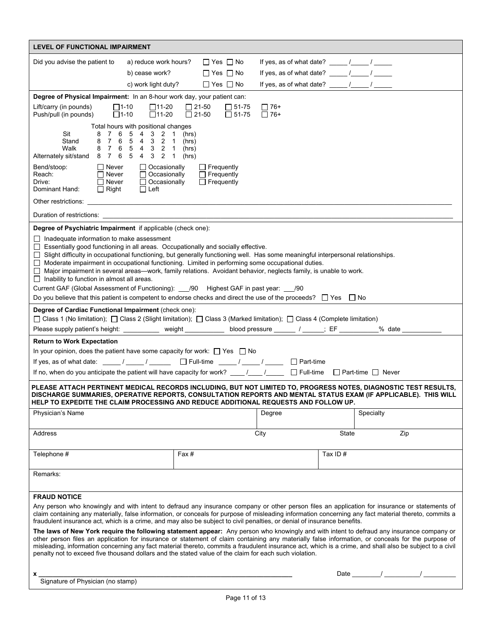| <b>LEVEL OF FUNCTIONAL IMPAIRMENT</b>                                                                                                                                                                                                                                                                                                                                                                                                                                                                                                                                                                                                                       |                                                                                  |                                        |                              |                                                        |         |                                                                                                                                                                                                                                                                                                                                                                                                                                                            |
|-------------------------------------------------------------------------------------------------------------------------------------------------------------------------------------------------------------------------------------------------------------------------------------------------------------------------------------------------------------------------------------------------------------------------------------------------------------------------------------------------------------------------------------------------------------------------------------------------------------------------------------------------------------|----------------------------------------------------------------------------------|----------------------------------------|------------------------------|--------------------------------------------------------|---------|------------------------------------------------------------------------------------------------------------------------------------------------------------------------------------------------------------------------------------------------------------------------------------------------------------------------------------------------------------------------------------------------------------------------------------------------------------|
| Did you advise the patient to                                                                                                                                                                                                                                                                                                                                                                                                                                                                                                                                                                                                                               | a) reduce work hours?                                                            |                                        | $\Box$ Yes $\Box$ No         | If yes, as of what date? $\frac{1}{2}$ / $\frac{1}{2}$ |         |                                                                                                                                                                                                                                                                                                                                                                                                                                                            |
|                                                                                                                                                                                                                                                                                                                                                                                                                                                                                                                                                                                                                                                             | b) cease work?                                                                   |                                        | $\Box$ Yes $\Box$ No         | If yes, as of what date? $\frac{1}{2}$ / $\frac{1}{2}$ |         |                                                                                                                                                                                                                                                                                                                                                                                                                                                            |
|                                                                                                                                                                                                                                                                                                                                                                                                                                                                                                                                                                                                                                                             | c) work light duty?                                                              |                                        | $\Box$ Yes $\Box$ No         |                                                        |         |                                                                                                                                                                                                                                                                                                                                                                                                                                                            |
| Degree of Physical Impairment: In an 8-hour work day, your patient can:                                                                                                                                                                                                                                                                                                                                                                                                                                                                                                                                                                                     |                                                                                  |                                        |                              |                                                        |         |                                                                                                                                                                                                                                                                                                                                                                                                                                                            |
| $\square$ 1-10<br>Lift/carry (in pounds)<br>Push/pull (in pounds)<br>$\square$ 1-10                                                                                                                                                                                                                                                                                                                                                                                                                                                                                                                                                                         | $\square$ 11-20<br>$\square$ 11-20                                               | $\Box$ 21-50<br>$\Box$ 21-50           | $\Box$ 51-75<br>$\Box$ 51-75 | $\Box$ 76+<br>$\Box$ 76+                               |         |                                                                                                                                                                                                                                                                                                                                                                                                                                                            |
|                                                                                                                                                                                                                                                                                                                                                                                                                                                                                                                                                                                                                                                             | Total hours with positional changes                                              |                                        |                              |                                                        |         |                                                                                                                                                                                                                                                                                                                                                                                                                                                            |
| Sit<br>6<br>8<br>7<br>Stand<br>$\overline{7}$<br>6<br>8<br>Walk<br>6<br>87                                                                                                                                                                                                                                                                                                                                                                                                                                                                                                                                                                                  | 5<br>4 3 2 1<br>5 4 3 2 1<br>5 4 3 2 1                                           | (hrs)<br>(hrs)<br>(hrs)                |                              |                                                        |         |                                                                                                                                                                                                                                                                                                                                                                                                                                                            |
| 6<br>Alternately sit/stand 8 7                                                                                                                                                                                                                                                                                                                                                                                                                                                                                                                                                                                                                              | 5 4 3 2 1                                                                        | (hrs)                                  |                              |                                                        |         |                                                                                                                                                                                                                                                                                                                                                                                                                                                            |
| Bend/stoop:<br>$\Box$ Never<br>$\Box$ Never<br>Reach:<br>$\Box$ Never<br>Drive:<br>$\Box$ Right<br>Dominant Hand:                                                                                                                                                                                                                                                                                                                                                                                                                                                                                                                                           | $\Box$ Occasionally<br>$\Box$ Occasionally<br>$\Box$ Occasionally<br>$\Box$ Left | $\Box$ Frequently<br>$\Box$ Frequently | $\Box$ Frequently            |                                                        |         |                                                                                                                                                                                                                                                                                                                                                                                                                                                            |
| Other restrictions:                                                                                                                                                                                                                                                                                                                                                                                                                                                                                                                                                                                                                                         |                                                                                  |                                        |                              |                                                        |         |                                                                                                                                                                                                                                                                                                                                                                                                                                                            |
| Duration of restrictions:                                                                                                                                                                                                                                                                                                                                                                                                                                                                                                                                                                                                                                   |                                                                                  |                                        |                              |                                                        |         |                                                                                                                                                                                                                                                                                                                                                                                                                                                            |
| Degree of Psychiatric Impairment if applicable (check one):                                                                                                                                                                                                                                                                                                                                                                                                                                                                                                                                                                                                 |                                                                                  |                                        |                              |                                                        |         |                                                                                                                                                                                                                                                                                                                                                                                                                                                            |
| $\Box$ Inadequate information to make assessment<br>$\Box$ Essentially good functioning in all areas. Occupationally and socially effective.<br>□ Slight difficulty in occupational functioning, but generally functioning well. Has some meaningful interpersonal relationships.<br>Moderate impairment in occupational functioning. Limited in performing some occupational duties.<br>□ Major impairment in several areas—work, family relations. Avoidant behavior, neglects family, is unable to work.<br>$\Box$ Inability to function in almost all areas.<br>Current GAF (Global Assessment of Functioning): ___/90 Highest GAF in past year: ___/90 |                                                                                  |                                        |                              |                                                        |         |                                                                                                                                                                                                                                                                                                                                                                                                                                                            |
| Do you believe that this patient is competent to endorse checks and direct the use of the proceeds? $\Box$ Yes $\Box$ No                                                                                                                                                                                                                                                                                                                                                                                                                                                                                                                                    |                                                                                  |                                        |                              |                                                        |         |                                                                                                                                                                                                                                                                                                                                                                                                                                                            |
| Degree of Cardiac Functional Impairment (check one):                                                                                                                                                                                                                                                                                                                                                                                                                                                                                                                                                                                                        |                                                                                  |                                        |                              |                                                        |         |                                                                                                                                                                                                                                                                                                                                                                                                                                                            |
| □ Class 1 (No limitation); □ Class 2 (Slight limitation); □ Class 3 (Marked limitation); □ Class 4 (Complete limitation)                                                                                                                                                                                                                                                                                                                                                                                                                                                                                                                                    |                                                                                  |                                        |                              |                                                        |         |                                                                                                                                                                                                                                                                                                                                                                                                                                                            |
| Please supply patient's height: ___________ weight ___________ blood pressure ______ / ______; EF _________% date ____                                                                                                                                                                                                                                                                                                                                                                                                                                                                                                                                      |                                                                                  |                                        |                              |                                                        |         |                                                                                                                                                                                                                                                                                                                                                                                                                                                            |
| <b>Return to Work Expectation</b>                                                                                                                                                                                                                                                                                                                                                                                                                                                                                                                                                                                                                           |                                                                                  |                                        |                              |                                                        |         |                                                                                                                                                                                                                                                                                                                                                                                                                                                            |
| In your opinion, does the patient have some capacity for work: $\Box$ Yes $\Box$ No                                                                                                                                                                                                                                                                                                                                                                                                                                                                                                                                                                         |                                                                                  |                                        |                              |                                                        |         |                                                                                                                                                                                                                                                                                                                                                                                                                                                            |
| If yes, as of what date: ____/ ____/ ______/ $\Box$ Full-time ____/ ____/ _____/ $\Box$ Part-time<br>If no, when do you anticipate the patient will have capacity for work? $\underline{\qquad \qquad }$ / $\underline{\qquad \qquad }$ $\Box$ Full-time $\Box$ Part-time $\Box$ Never                                                                                                                                                                                                                                                                                                                                                                      |                                                                                  |                                        |                              |                                                        |         |                                                                                                                                                                                                                                                                                                                                                                                                                                                            |
|                                                                                                                                                                                                                                                                                                                                                                                                                                                                                                                                                                                                                                                             |                                                                                  |                                        |                              |                                                        |         |                                                                                                                                                                                                                                                                                                                                                                                                                                                            |
| HELP TO EXPEDITE THE CLAIM PROCESSING AND REDUCE ADDITIONAL REQUESTS AND FOLLOW UP.                                                                                                                                                                                                                                                                                                                                                                                                                                                                                                                                                                         |                                                                                  |                                        |                              |                                                        |         | PLEASE ATTACH PERTINENT MEDICAL RECORDS INCLUDING, BUT NOT LIMITED TO, PROGRESS NOTES, DIAGNOSTIC TEST RESULTS,<br>DISCHARGE SUMMARIES, OPERATIVE REPORTS, CONSULTATION REPORTS AND MENTAL STATUS EXAM (IF APPLICABLE). THIS WILL                                                                                                                                                                                                                          |
| Physician's Name                                                                                                                                                                                                                                                                                                                                                                                                                                                                                                                                                                                                                                            |                                                                                  |                                        |                              | Degree                                                 |         | Specialty                                                                                                                                                                                                                                                                                                                                                                                                                                                  |
| Address                                                                                                                                                                                                                                                                                                                                                                                                                                                                                                                                                                                                                                                     |                                                                                  |                                        |                              | City                                                   | State   | Zip                                                                                                                                                                                                                                                                                                                                                                                                                                                        |
|                                                                                                                                                                                                                                                                                                                                                                                                                                                                                                                                                                                                                                                             |                                                                                  |                                        |                              |                                                        |         |                                                                                                                                                                                                                                                                                                                                                                                                                                                            |
| Telephone #                                                                                                                                                                                                                                                                                                                                                                                                                                                                                                                                                                                                                                                 |                                                                                  | Fax#                                   |                              |                                                        | Tax ID# |                                                                                                                                                                                                                                                                                                                                                                                                                                                            |
| Remarks:                                                                                                                                                                                                                                                                                                                                                                                                                                                                                                                                                                                                                                                    |                                                                                  |                                        |                              |                                                        |         |                                                                                                                                                                                                                                                                                                                                                                                                                                                            |
| <b>FRAUD NOTICE</b>                                                                                                                                                                                                                                                                                                                                                                                                                                                                                                                                                                                                                                         |                                                                                  |                                        |                              |                                                        |         |                                                                                                                                                                                                                                                                                                                                                                                                                                                            |
| fraudulent insurance act, which is a crime, and may also be subject to civil penalties, or denial of insurance benefits.                                                                                                                                                                                                                                                                                                                                                                                                                                                                                                                                    |                                                                                  |                                        |                              |                                                        |         | Any person who knowingly and with intent to defraud any insurance company or other person files an application for insurance or statements of<br>claim containing any materially, false information, or conceals for purpose of misleading information concerning any fact material thereto, commits a                                                                                                                                                     |
| penalty not to exceed five thousand dollars and the stated value of the claim for each such violation.                                                                                                                                                                                                                                                                                                                                                                                                                                                                                                                                                      |                                                                                  |                                        |                              |                                                        |         | The laws of New York require the following statement appear: Any person who knowingly and with intent to defraud any insurance company or<br>other person files an application for insurance or statement of claim containing any materially false information, or conceals for the purpose of<br>misleading, information concerning any fact material thereto, commits a fraudulent insurance act, which is a crime, and shall also be subject to a civil |
| x                                                                                                                                                                                                                                                                                                                                                                                                                                                                                                                                                                                                                                                           |                                                                                  |                                        |                              |                                                        |         |                                                                                                                                                                                                                                                                                                                                                                                                                                                            |
| Signature of Physician (no stamp)                                                                                                                                                                                                                                                                                                                                                                                                                                                                                                                                                                                                                           |                                                                                  |                                        |                              |                                                        |         |                                                                                                                                                                                                                                                                                                                                                                                                                                                            |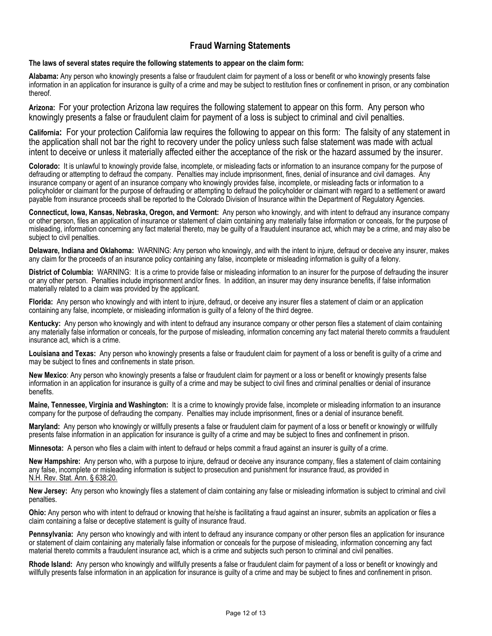# **Fraud Warning Statements**

#### **The laws of several states require the following statements to appear on the claim form:**

**Alabama:** Any person who knowingly presents a false or fraudulent claim for payment of a loss or benefit or who knowingly presents false information in an application for insurance is guilty of a crime and may be subject to restitution fines or confinement in prison, or any combination thereof.

**Arizona:** For your protection Arizona law requires the following statement to appear on this form. Any person who knowingly presents a false or fraudulent claim for payment of a loss is subject to criminal and civil penalties.

**California:** For your protection California law requires the following to appear on this form: The falsity of any statement in the application shall not bar the right to recovery under the policy unless such false statement was made with actual intent to deceive or unless it materially affected either the acceptance of the risk or the hazard assumed by the insurer.

**Colorado:** It is unlawful to knowingly provide false, incomplete, or misleading facts or information to an insurance company for the purpose of defrauding or attempting to defraud the company. Penalties may include imprisonment, fines, denial of insurance and civil damages. Any insurance company or agent of an insurance company who knowingly provides false, incomplete, or misleading facts or information to a policyholder or claimant for the purpose of defrauding or attempting to defraud the policyholder or claimant with regard to a settlement or award payable from insurance proceeds shall be reported to the Colorado Division of Insurance within the Department of Regulatory Agencies.

**Connecticut, Iowa, Kansas, Nebraska, Oregon, and Vermont:** Any person who knowingly, and with intent to defraud any insurance company or other person, files an application of insurance or statement of claim containing any materially false information or conceals, for the purpose of misleading, information concerning any fact material thereto, may be guilty of a fraudulent insurance act, which may be a crime, and may also be subject to civil penalties.

**Delaware, Indiana and Oklahoma:** WARNING: Any person who knowingly, and with the intent to injure, defraud or deceive any insurer, makes any claim for the proceeds of an insurance policy containing any false, incomplete or misleading information is guilty of a felony.

**District of Columbia:** WARNING: It is a crime to provide false or misleading information to an insurer for the purpose of defrauding the insurer or any other person. Penalties include imprisonment and/or fines. In addition, an insurer may deny insurance benefits, if false information materially related to a claim was provided by the applicant.

**Florida:** Any person who knowingly and with intent to injure, defraud, or deceive any insurer files a statement of claim or an application containing any false, incomplete, or misleading information is guilty of a felony of the third degree.

**Kentucky:** Any person who knowingly and with intent to defraud any insurance company or other person files a statement of claim containing any materially false information or conceals, for the purpose of misleading, information concerning any fact material thereto commits a fraudulent insurance act, which is a crime.

**Louisiana and Texas:** Any person who knowingly presents a false or fraudulent claim for payment of a loss or benefit is guilty of a crime and may be subject to fines and confinements in state prison.

**New Mexico**: Any person who knowingly presents a false or fraudulent claim for payment or a loss or benefit or knowingly presents false information in an application for insurance is guilty of a crime and may be subject to civil fines and criminal penalties or denial of insurance benefits.

**Maine, Tennessee, Virginia and Washington:** It is a crime to knowingly provide false, incomplete or misleading information to an insurance company for the purpose of defrauding the company. Penalties may include imprisonment, fines or a denial of insurance benefit.

**Maryland:** Any person who knowingly or willfully presents a false or fraudulent claim for payment of a loss or benefit or knowingly or willfully presents false information in an application for insurance is guilty of a crime and may be subject to fines and confinement in prison.

**Minnesota:** A person who files a claim with intent to defraud or helps commit a fraud against an insurer is guilty of a crime.

**New Hampshire:** Any person who, with a purpose to injure, defraud or deceive any insurance company, files a statement of claim containing any false, incomplete or misleading information is subject to prosecution and punishment for insurance fraud, as provided in N.H. Rev. Stat. Ann. § 638:20.

**New Jersey:** Any person who knowingly files a statement of claim containing any false or misleading information is subject to criminal and civil penalties.

**Ohio:** Any person who with intent to defraud or knowing that he/she is facilitating a fraud against an insurer, submits an application or files a claim containing a false or deceptive statement is guilty of insurance fraud.

**Pennsylvania:** Any person who knowingly and with intent to defraud any insurance company or other person files an application for insurance or statement of claim containing any materially false information or conceals for the purpose of misleading, information concerning any fact material thereto commits a fraudulent insurance act, which is a crime and subjects such person to criminal and civil penalties.

**Rhode Island:** Any person who knowingly and willfully presents a false or fraudulent claim for payment of a loss or benefit or knowingly and willfully presents false information in an application for insurance is guilty of a crime and may be subject to fines and confinement in prison.